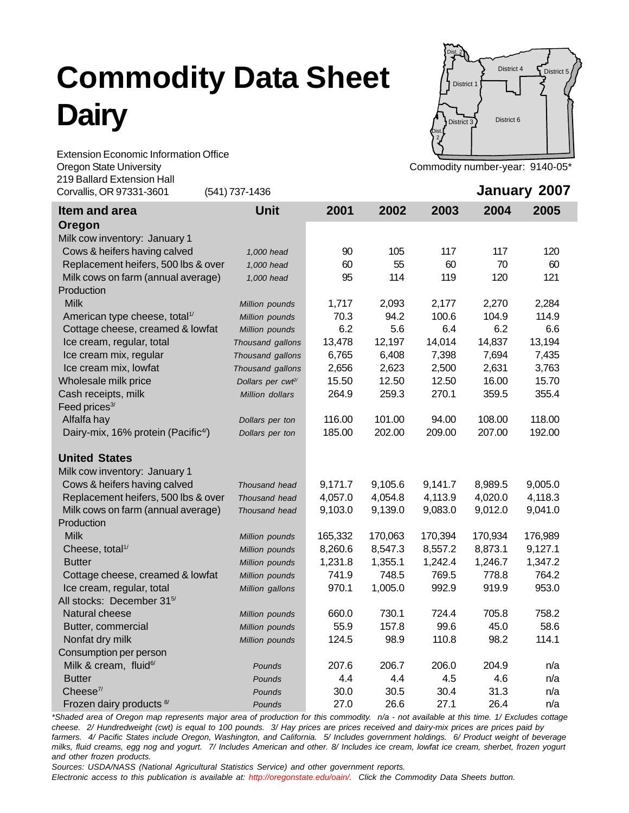## **Commodity Data Sheet Dairy**



Extension Economic Information Office Oregon State University **Commodity 1999** Commodity number-year: 9140-05<sup>\*</sup> 219 Ballard Extension Hall

| Z I 9 DAIIAI U EXIBIISIOI I FIAII<br>Corvallis, OR 97331-3601 | (541) 737-1436                |         |         |         |         | January 2007 |
|---------------------------------------------------------------|-------------------------------|---------|---------|---------|---------|--------------|
| Item and area                                                 | <b>Unit</b>                   | 2001    | 2002    | 2003    | 2004    | 2005         |
| Oregon                                                        |                               |         |         |         |         |              |
| Milk cow inventory: January 1                                 |                               |         |         |         |         |              |
| Cows & heifers having calved                                  | 1,000 head                    | 90      | 105     | 117     | 117     | 120          |
| Replacement heifers, 500 lbs & over                           | 1,000 head                    | 60      | 55      | 60      | 70      | 60           |
| Milk cows on farm (annual average)                            | 1,000 head                    | 95      | 114     | 119     | 120     | 121          |
| Production                                                    |                               |         |         |         |         |              |
| <b>Milk</b>                                                   | Million pounds                | 1,717   | 2,093   | 2,177   | 2,270   | 2,284        |
| American type cheese, total <sup>1/</sup>                     | Million pounds                | 70.3    | 94.2    | 100.6   | 104.9   | 114.9        |
| Cottage cheese, creamed & lowfat                              | Million pounds                | 6.2     | 5.6     | 6.4     | 6.2     | 6.6          |
| Ice cream, regular, total                                     | Thousand gallons              | 13,478  | 12,197  | 14,014  | 14,837  | 13,194       |
| Ice cream mix, regular                                        | Thousand gallons              | 6,765   | 6,408   | 7,398   | 7,694   | 7,435        |
| Ice cream mix, lowfat                                         | Thousand gallons              | 2,656   | 2,623   | 2,500   | 2,631   | 3,763        |
| Wholesale milk price                                          | Dollars per cwf <sup>2/</sup> | 15.50   | 12.50   | 12.50   | 16.00   | 15.70        |
| Cash receipts, milk                                           | Million dollars               | 264.9   | 259.3   | 270.1   | 359.5   | 355.4        |
| Feed prices <sup>3/</sup>                                     |                               |         |         |         |         |              |
| Alfalfa hay                                                   | Dollars per ton               | 116.00  | 101.00  | 94.00   | 108.00  | 118.00       |
| Dairy-mix, 16% protein (Pacific <sup>4/</sup> )               | Dollars per ton               | 185.00  | 202.00  | 209.00  | 207.00  | 192.00       |
| <b>United States</b>                                          |                               |         |         |         |         |              |
| Milk cow inventory: January 1                                 |                               |         |         |         |         |              |
| Cows & heifers having calved                                  | Thousand head                 | 9,171.7 | 9,105.6 | 9,141.7 | 8,989.5 | 9,005.0      |
| Replacement heifers, 500 lbs & over                           | Thousand head                 | 4,057.0 | 4,054.8 | 4,113.9 | 4,020.0 | 4,118.3      |
| Milk cows on farm (annual average)                            | Thousand head                 | 9,103.0 | 9,139.0 | 9,083.0 | 9,012.0 | 9,041.0      |
| Production                                                    |                               |         |         |         |         |              |
| <b>Milk</b>                                                   | Million pounds                | 165,332 | 170,063 | 170,394 | 170,934 | 176,989      |
| Cheese, total <sup>1/</sup>                                   | Million pounds                | 8,260.6 | 8,547.3 | 8,557.2 | 8,873.1 | 9,127.1      |
| <b>Butter</b>                                                 | Million pounds                | 1,231.8 | 1,355.1 | 1,242.4 | 1,246.7 | 1,347.2      |
| Cottage cheese, creamed & lowfat                              | Million pounds                | 741.9   | 748.5   | 769.5   | 778.8   | 764.2        |
| Ice cream, regular, total                                     | Million gallons               | 970.1   | 1,005.0 | 992.9   | 919.9   | 953.0        |
| All stocks: December 315/                                     |                               |         |         |         |         |              |
| Natural cheese                                                | Million pounds                | 660.0   | 730.1   | 724.4   | 705.8   | 758.2        |
| Butter, commercial                                            | Million pounds                | 55.9    | 157.8   | 99.6    | 45.0    | 58.6         |
| Nonfat dry milk                                               | Million pounds                | 124.5   | 98.9    | 110.8   | 98.2    | 114.1        |
| Consumption per person                                        |                               |         |         |         |         |              |
| Milk & cream, fluid <sup>6/</sup>                             | Pounds                        | 207.6   | 206.7   | 206.0   | 204.9   | n/a          |
| <b>Butter</b>                                                 | Pounds                        | 4.4     | 4.4     | 4.5     | 4.6     | n/a          |
| $\mathsf{Cheese}^{\eta}$                                      | Pounds                        | 30.0    | 30.5    | 30.4    | 31.3    | n/a          |
| Frozen dairy products 8/                                      | Pounds                        | 27.0    | 26.6    | 27.1    | 26.4    | n/a          |

*\*Shaded area of Oregon map represents major area of production for this commodity. n/a - not available at this time. 1/ Excludes cottage cheese. 2/ Hundredweight (cwt) is equal to 100 pounds. 3/ Hay prices are prices received and dairy-mix prices are prices paid by farmers. 4/ Pacific States include Oregon, Washington, and California. 5/ Includes government holdings. 6/ Product weight of beverage milks, fluid creams, egg nog and yogurt. 7/ Includes American and other. 8/ Includes ice cream, lowfat ice cream, sherbet, frozen yogurt and other frozen products.*

*Sources: USDA/NASS (National Agricultural Statistics Service) and other government reports.*

*Electronic access to this publication is available at: http://oregonstate.edu/oain/. Click the Commodity Data Sheets button.*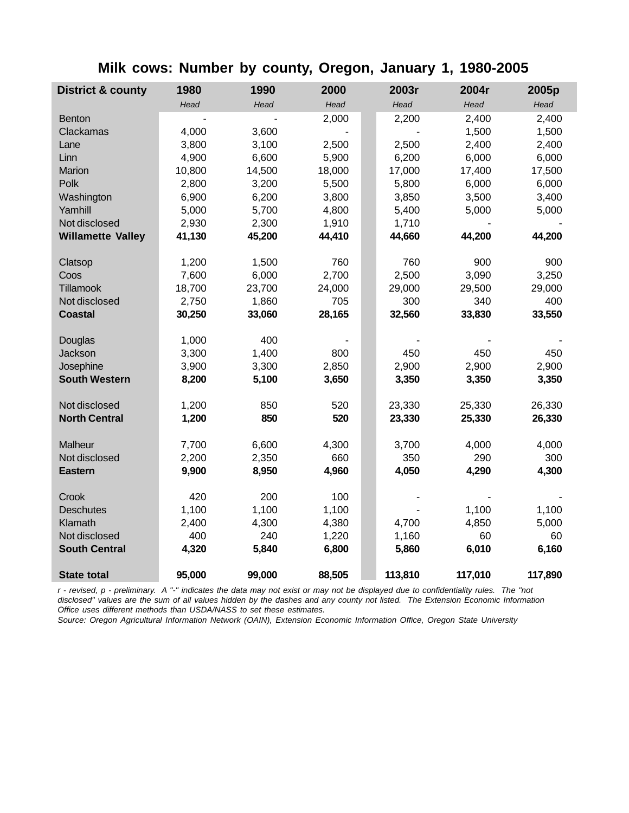|  |  | Milk cows: Number by county, Oregon, January 1, 1980-2005 |  |
|--|--|-----------------------------------------------------------|--|
|--|--|-----------------------------------------------------------|--|

| <b>District &amp; county</b> | 1980   | 1990   | 2000   |  | 2003r   | 2004r   | 2005p   |
|------------------------------|--------|--------|--------|--|---------|---------|---------|
|                              | Head   | Head   | Head   |  | Head    | Head    | Head    |
| <b>Benton</b>                |        |        | 2,000  |  | 2,200   | 2,400   | 2,400   |
| Clackamas                    | 4,000  | 3,600  |        |  |         | 1,500   | 1,500   |
| Lane                         | 3,800  | 3,100  | 2,500  |  | 2,500   | 2,400   | 2,400   |
| Linn                         | 4,900  | 6,600  | 5,900  |  | 6,200   | 6,000   | 6,000   |
| Marion                       | 10,800 | 14,500 | 18,000 |  | 17,000  | 17,400  | 17,500  |
| Polk                         | 2,800  | 3,200  | 5,500  |  | 5,800   | 6,000   | 6,000   |
| Washington                   | 6,900  | 6,200  | 3,800  |  | 3,850   | 3,500   | 3,400   |
| Yamhill                      | 5,000  | 5,700  | 4,800  |  | 5,400   | 5,000   | 5,000   |
| Not disclosed                | 2,930  | 2,300  | 1,910  |  | 1,710   |         |         |
| <b>Willamette Valley</b>     | 41,130 | 45,200 | 44,410 |  | 44,660  | 44,200  | 44,200  |
| Clatsop                      | 1,200  | 1,500  | 760    |  | 760     | 900     | 900     |
| Coos                         | 7,600  | 6,000  | 2,700  |  | 2,500   | 3,090   | 3,250   |
| Tillamook                    | 18,700 | 23,700 | 24,000 |  | 29,000  | 29,500  | 29,000  |
| Not disclosed                | 2,750  | 1,860  | 705    |  | 300     | 340     | 400     |
| <b>Coastal</b>               | 30,250 | 33,060 | 28,165 |  | 32,560  | 33,830  | 33,550  |
| Douglas                      | 1,000  | 400    |        |  |         |         |         |
| Jackson                      | 3,300  | 1,400  | 800    |  | 450     | 450     | 450     |
| Josephine                    | 3,900  | 3,300  | 2,850  |  | 2,900   | 2,900   | 2,900   |
| <b>South Western</b>         | 8,200  | 5,100  | 3,650  |  | 3,350   | 3,350   | 3,350   |
| Not disclosed                | 1,200  | 850    | 520    |  | 23,330  | 25,330  | 26,330  |
| <b>North Central</b>         | 1,200  | 850    | 520    |  | 23,330  | 25,330  | 26,330  |
| Malheur                      | 7,700  | 6,600  | 4,300  |  | 3,700   | 4,000   | 4,000   |
| Not disclosed                | 2,200  | 2,350  | 660    |  | 350     | 290     | 300     |
| <b>Eastern</b>               | 9,900  | 8,950  | 4,960  |  | 4,050   | 4,290   | 4,300   |
| Crook                        | 420    | 200    | 100    |  |         |         |         |
| <b>Deschutes</b>             | 1,100  | 1,100  | 1,100  |  |         | 1,100   | 1,100   |
| Klamath                      | 2,400  | 4,300  | 4,380  |  | 4,700   | 4,850   | 5,000   |
| Not disclosed                | 400    | 240    | 1,220  |  | 1,160   | 60      | 60      |
| <b>South Central</b>         | 4,320  | 5,840  | 6,800  |  | 5,860   | 6,010   | 6,160   |
| <b>State total</b>           | 95,000 | 99,000 | 88,505 |  | 113,810 | 117,010 | 117,890 |

*r - revised, p - preliminary. A "-" indicates the data may not exist or may not be displayed due to confidentiality rules. The "not disclosed" values are the sum of all values hidden by the dashes and any county not listed. The Extension Economic Information Office uses different methods than USDA/NASS to set these estimates.*

*Source: Oregon Agricultural Information Network (OAIN), Extension Economic Information Office, Oregon State University*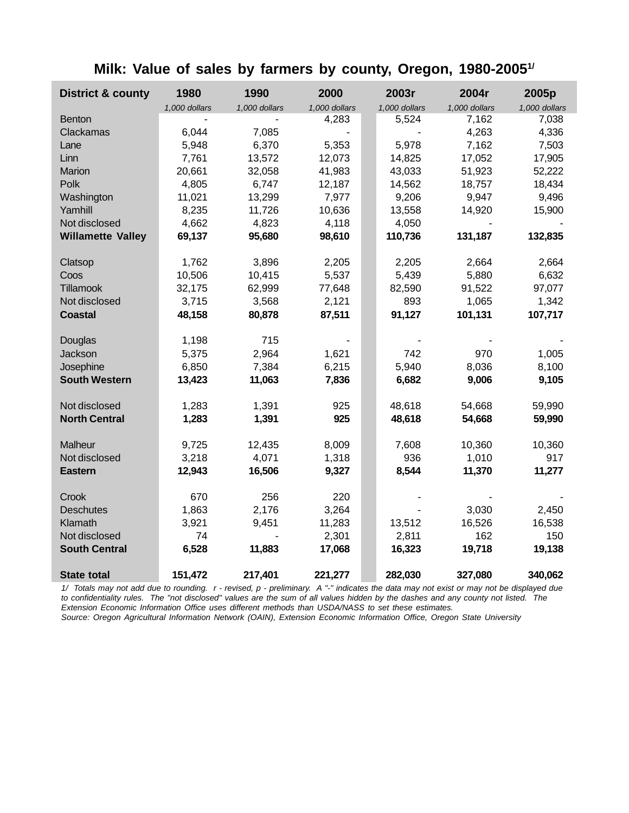|  |  |  |  |  |  |  |  |  | Milk: Value of sales by farmers by county, Oregon, 1980-2005 <sup>1/</sup> |
|--|--|--|--|--|--|--|--|--|----------------------------------------------------------------------------|
|--|--|--|--|--|--|--|--|--|----------------------------------------------------------------------------|

| <b>District &amp; county</b> | 1980          | 1990          | 2000            | 2003r         | 2004r         | 2005p           |
|------------------------------|---------------|---------------|-----------------|---------------|---------------|-----------------|
|                              | 1,000 dollars | 1,000 dollars | 1,000 dollars   | 1,000 dollars | 1,000 dollars | 1,000 dollars   |
| <b>Benton</b>                |               |               | 4,283           | 5,524         | 7,162         | 7,038           |
| Clackamas                    | 6,044         | 7,085         |                 |               | 4,263         | 4,336           |
| Lane                         | 5,948         | 6,370         | 5,353           | 5,978         | 7,162         | 7,503           |
| Linn                         | 7,761         | 13,572        | 12,073          | 14,825        | 17,052        | 17,905          |
| Marion                       | 20,661        | 32,058        | 41,983          | 43,033        | 51,923        | 52,222          |
| Polk                         | 4,805         | 6,747         | 12,187          | 14,562        | 18,757        | 18,434          |
| Washington                   | 11,021        | 13,299        | 7,977           | 9,206         | 9,947         | 9,496           |
| Yamhill                      | 8,235         | 11,726        | 10,636          | 13,558        | 14,920        | 15,900          |
| Not disclosed                | 4,662         | 4,823         | 4,118           | 4,050         |               |                 |
| <b>Willamette Valley</b>     | 69,137        | 95,680        | 98,610          | 110,736       | 131,187       | 132,835         |
| Clatsop                      | 1,762         | 3,896         | 2,205           | 2,205         | 2,664         | 2,664           |
| Coos                         | 10,506        | 10,415        | 5,537           | 5,439         | 5,880         | 6,632           |
| Tillamook                    | 32,175        | 62,999        | 77,648          | 82,590        | 91,522        | 97,077          |
| Not disclosed                | 3,715         | 3,568         | 2,121           | 893           | 1,065         | 1,342           |
| <b>Coastal</b>               | 48,158        | 80,878        | 87,511          | 91,127        | 101,131       | 107,717         |
|                              |               |               |                 |               |               |                 |
| Douglas                      | 1,198         | 715           |                 |               |               |                 |
| Jackson                      | 5,375         | 2,964         | 1,621           | 742           | 970           | 1,005           |
| Josephine                    | 6,850         | 7,384         | 6,215           | 5,940         | 8,036         | 8,100           |
| <b>South Western</b>         | 13,423        | 11,063        | 7,836           | 6,682         | 9,006         | 9,105           |
| Not disclosed                | 1,283         | 1,391         | 925             | 48,618        | 54,668        | 59,990          |
| <b>North Central</b>         | 1,283         | 1,391         | 925             | 48,618        | 54,668        | 59,990          |
| Malheur                      | 9,725         | 12,435        | 8,009           | 7,608         | 10,360        | 10,360          |
| Not disclosed                | 3,218         | 4,071         | 1,318           | 936           | 1,010         | 917             |
| <b>Eastern</b>               | 12,943        | 16,506        | 9,327           | 8,544         | 11,370        | 11,277          |
|                              | 670           | 256           | 220             |               |               |                 |
| Crook                        |               | 2,176         |                 |               | 3,030         |                 |
| <b>Deschutes</b><br>Klamath  | 1,863         | 9,451         | 3,264           | 13,512        | 16,526        | 2,450<br>16,538 |
| Not disclosed                | 3,921<br>74   |               | 11,283<br>2,301 | 2,811         | 162           | 150             |
| <b>South Central</b>         |               | 11,883        |                 | 16,323        |               |                 |
|                              | 6,528         |               | 17,068          |               | 19,718        | 19,138          |
| <b>State total</b>           | 151,472       | 217,401       | 221,277         | 282,030       | 327,080       | 340,062         |

*1/ Totals may not add due to rounding. r - revised, p - preliminary. A "-" indicates the data may not exist or may not be displayed due to confidentiality rules. The "not disclosed" values are the sum of all values hidden by the dashes and any county not listed. The Extension Economic Information Office uses different methods than USDA/NASS to set these estimates.*

*Source: Oregon Agricultural Information Network (OAIN), Extension Economic Information Office, Oregon State University*